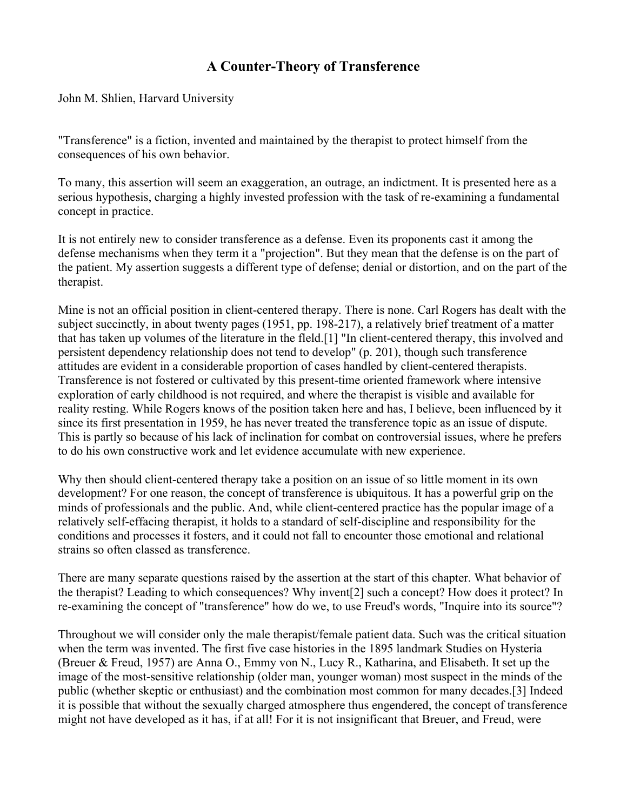# A Counter-Theory of Transference

John M. Shlien, Harvard University

"Transference" is a fiction, invented and maintained by the therapist to protect himself from the consequences of his own behavior.

To many, this assertion will seem an exaggeration, an outrage, an indictment. It is presented here as a serious hypothesis, charging a highly invested profession with the task of re-examining a fundamental concept in practice.

It is not entirely new to consider transference as a defense. Even its proponents cast it among the defense mechanisms when they term it a "projection". But they mean that the defense is on the part of the patient. My assertion suggests a different type of defense; denial or distortion, and on the part of the therapist.

Mine is not an official position in client-centered therapy. There is none. Carl Rogers has dealt with the subject succinctly, in about twenty pages (1951, pp. 198-217), a relatively brief treatment of a matter that has taken up volumes of the literature in the fleld.[1] "In client-centered therapy, this involved and persistent dependency relationship does not tend to develop" (p. 201), though such transference attitudes are evident in a considerable proportion of cases handled by client-centered therapists. Transference is not fostered or cultivated by this present-time oriented framework where intensive exploration of early childhood is not required, and where the therapist is visible and available for reality resting. While Rogers knows of the position taken here and has, I believe, been influenced by it since its first presentation in 1959, he has never treated the transference topic as an issue of dispute. This is partly so because of his lack of inclination for combat on controversial issues, where he prefers to do his own constructive work and let evidence accumulate with new experience.

Why then should client-centered therapy take a position on an issue of so little moment in its own development? For one reason, the concept of transference is ubiquitous. It has a powerful grip on the minds of professionals and the public. And, while client-centered practice has the popular image of a relatively self-effacing therapist, it holds to a standard of self-discipline and responsibility for the conditions and processes it fosters, and it could not fall to encounter those emotional and relational strains so often classed as transference.

There are many separate questions raised by the assertion at the start of this chapter. What behavior of the therapist? Leading to which consequences? Why invent[2] such a concept? How does it protect? In re-examining the concept of "transference" how do we, to use Freud's words, "Inquire into its source"?

Throughout we will consider only the male therapist/female patient data. Such was the critical situation when the term was invented. The first five case histories in the 1895 landmark Studies on Hysteria (Breuer & Freud, 1957) are Anna O., Emmy von N., Lucy R., Katharina, and Elisabeth. It set up the image of the most-sensitive relationship (older man, younger woman) most suspect in the minds of the public (whether skeptic or enthusiast) and the combination most common for many decades.[3] Indeed it is possible that without the sexually charged atmosphere thus engendered, the concept of transference might not have developed as it has, if at all! For it is not insignificant that Breuer, and Freud, were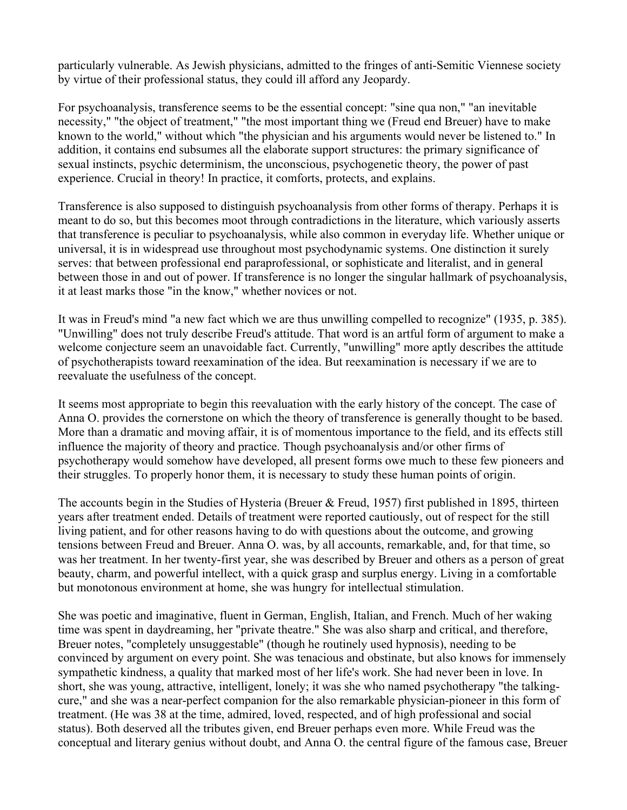particularly vulnerable. As Jewish physicians, admitted to the fringes of anti-Semitic Viennese society by virtue of their professional status, they could ill afford any Jeopardy.

For psychoanalysis, transference seems to be the essential concept: "sine qua non," "an inevitable necessity," "the object of treatment," "the most important thing we (Freud end Breuer) have to make known to the world," without which "the physician and his arguments would never be listened to." In addition, it contains end subsumes all the elaborate support structures: the primary significance of sexual instincts, psychic determinism, the unconscious, psychogenetic theory, the power of past experience. Crucial in theory! In practice, it comforts, protects, and explains.

Transference is also supposed to distinguish psychoanalysis from other forms of therapy. Perhaps it is meant to do so, but this becomes moot through contradictions in the literature, which variously asserts that transference is peculiar to psychoanalysis, while also common in everyday life. Whether unique or universal, it is in widespread use throughout most psychodynamic systems. One distinction it surely serves: that between professional end paraprofessional, or sophisticate and literalist, and in general between those in and out of power. If transference is no longer the singular hallmark of psychoanalysis, it at least marks those "in the know," whether novices or not.

It was in Freud's mind "a new fact which we are thus unwilling compelled to recognize" (1935, p. 385). "Unwilling" does not truly describe Freud's attitude. That word is an artful form of argument to make a welcome conjecture seem an unavoidable fact. Currently, "unwilling" more aptly describes the attitude of psychotherapists toward reexamination of the idea. But reexamination is necessary if we are to reevaluate the usefulness of the concept.

It seems most appropriate to begin this reevaluation with the early history of the concept. The case of Anna O. provides the cornerstone on which the theory of transference is generally thought to be based. More than a dramatic and moving affair, it is of momentous importance to the field, and its effects still influence the majority of theory and practice. Though psychoanalysis and/or other firms of psychotherapy would somehow have developed, all present forms owe much to these few pioneers and their struggles. To properly honor them, it is necessary to study these human points of origin.

The accounts begin in the Studies of Hysteria (Breuer & Freud, 1957) first published in 1895, thirteen years after treatment ended. Details of treatment were reported cautiously, out of respect for the still living patient, and for other reasons having to do with questions about the outcome, and growing tensions between Freud and Breuer. Anna O. was, by all accounts, remarkable, and, for that time, so was her treatment. In her twenty-first year, she was described by Breuer and others as a person of great beauty, charm, and powerful intellect, with a quick grasp and surplus energy. Living in a comfortable but monotonous environment at home, she was hungry for intellectual stimulation.

She was poetic and imaginative, fluent in German, English, Italian, and French. Much of her waking time was spent in daydreaming, her "private theatre." She was also sharp and critical, and therefore, Breuer notes, "completely unsuggestable" (though he routinely used hypnosis), needing to be convinced by argument on every point. She was tenacious and obstinate, but also knows for immensely sympathetic kindness, a quality that marked most of her life's work. She had never been in love. In short, she was young, attractive, intelligent, lonely; it was she who named psychotherapy "the talkingcure," and she was a near-perfect companion for the also remarkable physician-pioneer in this form of treatment. (He was 38 at the time, admired, loved, respected, and of high professional and social status). Both deserved all the tributes given, end Breuer perhaps even more. While Freud was the conceptual and literary genius without doubt, and Anna O. the central figure of the famous case, Breuer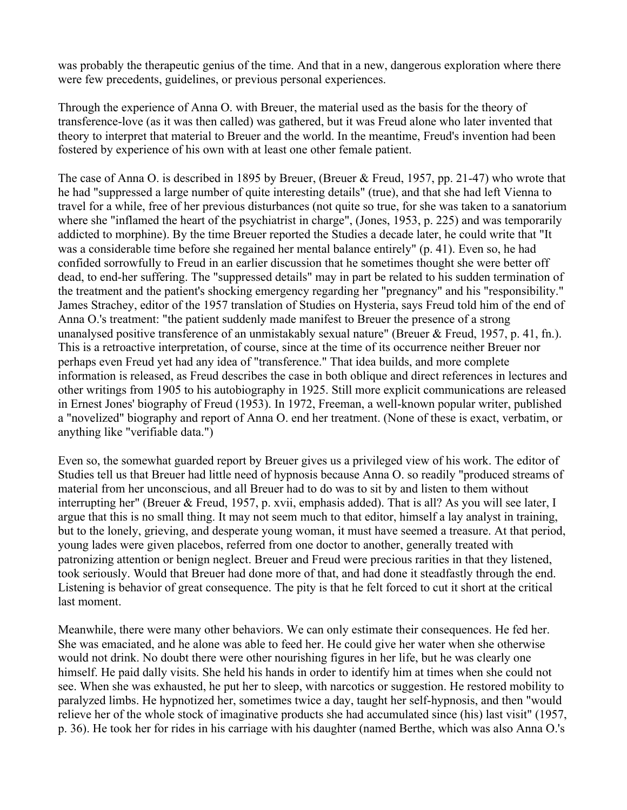was probably the therapeutic genius of the time. And that in a new, dangerous exploration where there were few precedents, guidelines, or previous personal experiences.

Through the experience of Anna O. with Breuer, the material used as the basis for the theory of transference-love (as it was then called) was gathered, but it was Freud alone who later invented that theory to interpret that material to Breuer and the world. In the meantime, Freud's invention had been fostered by experience of his own with at least one other female patient.

The case of Anna O. is described in 1895 by Breuer, (Breuer & Freud, 1957, pp. 21-47) who wrote that he had "suppressed a large number of quite interesting details" (true), and that she had left Vienna to travel for a while, free of her previous disturbances (not quite so true, for she was taken to a sanatorium where she "inflamed the heart of the psychiatrist in charge", (Jones, 1953, p. 225) and was temporarily addicted to morphine). By the time Breuer reported the Studies a decade later, he could write that "It was a considerable time before she regained her mental balance entirely" (p. 41). Even so, he had confided sorrowfully to Freud in an earlier discussion that he sometimes thought she were better off dead, to end-her suffering. The "suppressed details" may in part be related to his sudden termination of the treatment and the patient's shocking emergency regarding her "pregnancy" and his "responsibility." James Strachey, editor of the 1957 translation of Studies on Hysteria, says Freud told him of the end of Anna O.'s treatment: "the patient suddenly made manifest to Breuer the presence of a strong unanalysed positive transference of an unmistakably sexual nature" (Breuer & Freud, 1957, p. 41, fn.). This is a retroactive interpretation, of course, since at the time of its occurrence neither Breuer nor perhaps even Freud yet had any idea of "transference." That idea builds, and more complete information is released, as Freud describes the case in both oblique and direct references in lectures and other writings from 1905 to his autobiography in 1925. Still more explicit communications are released in Ernest Jones' biography of Freud (1953). In 1972, Freeman, a well-known popular writer, published a "novelized" biography and report of Anna O. end her treatment. (None of these is exact, verbatim, or anything like "verifiable data.")

Even so, the somewhat guarded report by Breuer gives us a privileged view of his work. The editor of Studies tell us that Breuer had little need of hypnosis because Anna O. so readily "produced streams of material from her unconscious, and all Breuer had to do was to sit by and listen to them without interrupting her" (Breuer & Freud, 1957, p. xvii, emphasis added). That is all? As you will see later, I argue that this is no small thing. It may not seem much to that editor, himself a lay analyst in training, but to the lonely, grieving, and desperate young woman, it must have seemed a treasure. At that period, young lades were given placebos, referred from one doctor to another, generally treated with patronizing attention or benign neglect. Breuer and Freud were precious rarities in that they listened, took seriously. Would that Breuer had done more of that, and had done it steadfastly through the end. Listening is behavior of great consequence. The pity is that he felt forced to cut it short at the critical last moment.

Meanwhile, there were many other behaviors. We can only estimate their consequences. He fed her. She was emaciated, and he alone was able to feed her. He could give her water when she otherwise would not drink. No doubt there were other nourishing figures in her life, but he was clearly one himself. He paid dally visits. She held his hands in order to identify him at times when she could not see. When she was exhausted, he put her to sleep, with narcotics or suggestion. He restored mobility to paralyzed limbs. He hypnotized her, sometimes twice a day, taught her self-hypnosis, and then "would relieve her of the whole stock of imaginative products she had accumulated since (his) last visit" (1957, p. 36). He took her for rides in his carriage with his daughter (named Berthe, which was also Anna O.'s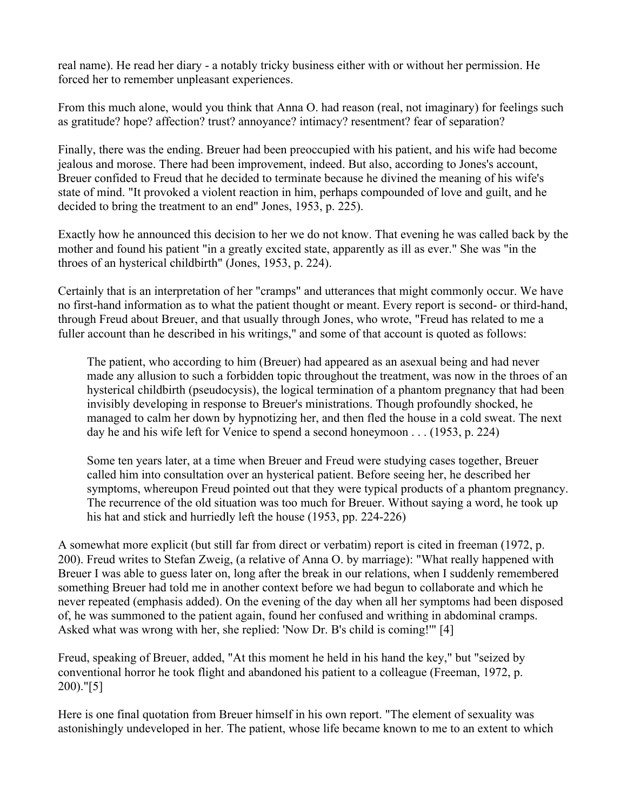real name). He read her diary - a notably tricky business either with or without her permission. He forced her to remember unpleasant experiences.

From this much alone, would you think that Anna O. had reason (real, not imaginary) for feelings such as gratitude? hope? affection? trust? annoyance? intimacy? resentment? fear of separation?

Finally, there was the ending. Breuer had been preoccupied with his patient, and his wife had become jealous and morose. There had been improvement, indeed. But also, according to Jones's account, Breuer confided to Freud that he decided to terminate because he divined the meaning of his wife's state of mind. "It provoked a violent reaction in him, perhaps compounded of love and guilt, and he decided to bring the treatment to an end" Jones, 1953, p. 225).

Exactly how he announced this decision to her we do not know. That evening he was called back by the mother and found his patient "in a greatly excited state, apparently as ill as ever." She was "in the throes of an hysterical childbirth" (Jones, 1953, p. 224).

Certainly that is an interpretation of her "cramps" and utterances that might commonly occur. We have no first-hand information as to what the patient thought or meant. Every report is second- or third-hand, through Freud about Breuer, and that usually through Jones, who wrote, "Freud has related to me a fuller account than he described in his writings," and some of that account is quoted as follows:

The patient, who according to him (Breuer) had appeared as an asexual being and had never made any allusion to such a forbidden topic throughout the treatment, was now in the throes of an hysterical childbirth (pseudocysis), the logical termination of a phantom pregnancy that had been invisibly developing in response to Breuer's ministrations. Though profoundly shocked, he managed to calm her down by hypnotizing her, and then fled the house in a cold sweat. The next day he and his wife left for Venice to spend a second honeymoon . . . (1953, p. 224)

Some ten years later, at a time when Breuer and Freud were studying cases together, Breuer called him into consultation over an hysterical patient. Before seeing her, he described her symptoms, whereupon Freud pointed out that they were typical products of a phantom pregnancy. The recurrence of the old situation was too much for Breuer. Without saying a word, he took up his hat and stick and hurriedly left the house (1953, pp. 224-226)

A somewhat more explicit (but still far from direct or verbatim) report is cited in freeman (1972, p. 200). Freud writes to Stefan Zweig, (a relative of Anna O. by marriage): "What really happened with Breuer I was able to guess later on, long after the break in our relations, when I suddenly remembered something Breuer had told me in another context before we had begun to collaborate and which he never repeated (emphasis added). On the evening of the day when all her symptoms had been disposed of, he was summoned to the patient again, found her confused and writhing in abdominal cramps. Asked what was wrong with her, she replied: 'Now Dr. B's child is coming!'" [4]

Freud, speaking of Breuer, added, "At this moment he held in his hand the key," but "seized by conventional horror he took flight and abandoned his patient to a colleague (Freeman, 1972, p. 200)."[5]

Here is one final quotation from Breuer himself in his own report. "The element of sexuality was astonishingly undeveloped in her. The patient, whose life became known to me to an extent to which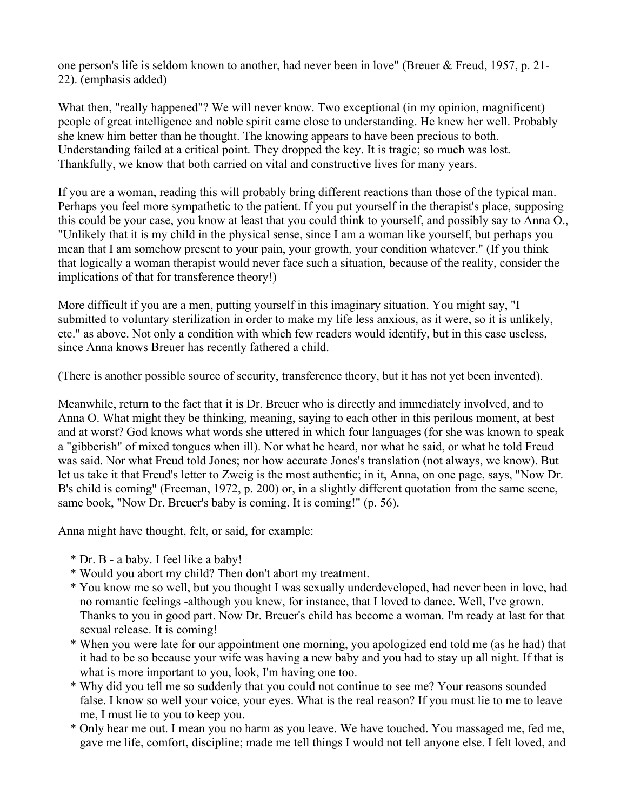one person's life is seldom known to another, had never been in love" (Breuer & Freud, 1957, p. 21- 22). (emphasis added)

What then, "really happened"? We will never know. Two exceptional (in my opinion, magnificent) people of great intelligence and noble spirit came close to understanding. He knew her well. Probably she knew him better than he thought. The knowing appears to have been precious to both. Understanding failed at a critical point. They dropped the key. It is tragic; so much was lost. Thankfully, we know that both carried on vital and constructive lives for many years.

If you are a woman, reading this will probably bring different reactions than those of the typical man. Perhaps you feel more sympathetic to the patient. If you put yourself in the therapist's place, supposing this could be your case, you know at least that you could think to yourself, and possibly say to Anna O., "Unlikely that it is my child in the physical sense, since I am a woman like yourself, but perhaps you mean that I am somehow present to your pain, your growth, your condition whatever." (If you think that logically a woman therapist would never face such a situation, because of the reality, consider the implications of that for transference theory!)

More difficult if you are a men, putting yourself in this imaginary situation. You might say, "I submitted to voluntary sterilization in order to make my life less anxious, as it were, so it is unlikely, etc." as above. Not only a condition with which few readers would identify, but in this case useless, since Anna knows Breuer has recently fathered a child.

(There is another possible source of security, transference theory, but it has not yet been invented).

Meanwhile, return to the fact that it is Dr. Breuer who is directly and immediately involved, and to Anna O. What might they be thinking, meaning, saying to each other in this perilous moment, at best and at worst? God knows what words she uttered in which four languages (for she was known to speak a "gibberish" of mixed tongues when ill). Nor what he heard, nor what he said, or what he told Freud was said. Nor what Freud told Jones; nor how accurate Jones's translation (not always, we know). But let us take it that Freud's letter to Zweig is the most authentic; in it, Anna, on one page, says, "Now Dr. B's child is coming" (Freeman, 1972, p. 200) or, in a slightly different quotation from the same scene, same book, "Now Dr. Breuer's baby is coming. It is coming!" (p. 56).

Anna might have thought, felt, or said, for example:

- \* Dr. B a baby. I feel like a baby!
- \* Would you abort my child? Then don't abort my treatment.
- \* You know me so well, but you thought I was sexually underdeveloped, had never been in love, had no romantic feelings -although you knew, for instance, that I loved to dance. Well, I've grown. Thanks to you in good part. Now Dr. Breuer's child has become a woman. I'm ready at last for that sexual release. It is coming!
- \* When you were late for our appointment one morning, you apologized end told me (as he had) that it had to be so because your wife was having a new baby and you had to stay up all night. If that is what is more important to you, look, I'm having one too.
- \* Why did you tell me so suddenly that you could not continue to see me? Your reasons sounded false. I know so well your voice, your eyes. What is the real reason? If you must lie to me to leave me, I must lie to you to keep you.
- \* Only hear me out. I mean you no harm as you leave. We have touched. You massaged me, fed me, gave me life, comfort, discipline; made me tell things I would not tell anyone else. I felt loved, and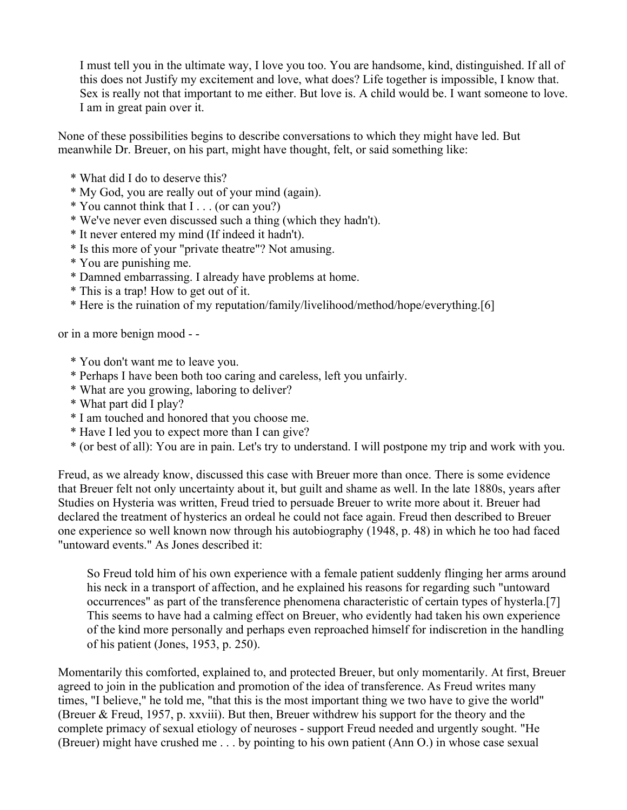I must tell you in the ultimate way, I love you too. You are handsome, kind, distinguished. If all of this does not Justify my excitement and love, what does? Life together is impossible, I know that. Sex is really not that important to me either. But love is. A child would be. I want someone to love. I am in great pain over it.

None of these possibilities begins to describe conversations to which they might have led. But meanwhile Dr. Breuer, on his part, might have thought, felt, or said something like:

- \* What did I do to deserve this?
- \* My God, you are really out of your mind (again).
- \* You cannot think that I . . . (or can you?)
- \* We've never even discussed such a thing (which they hadn't).
- \* It never entered my mind (If indeed it hadn't).
- \* Is this more of your "private theatre"? Not amusing.
- \* You are punishing me.
- \* Damned embarrassing. I already have problems at home.
- \* This is a trap! How to get out of it.
- \* Here is the ruination of my reputation/family/livelihood/method/hope/everything.[6]

or in a more benign mood - -

- \* You don't want me to leave you.
- \* Perhaps I have been both too caring and careless, left you unfairly.
- \* What are you growing, laboring to deliver?
- \* What part did I play?
- \* I am touched and honored that you choose me.
- \* Have I led you to expect more than I can give?
- \* (or best of all): You are in pain. Let's try to understand. I will postpone my trip and work with you.

Freud, as we already know, discussed this case with Breuer more than once. There is some evidence that Breuer felt not only uncertainty about it, but guilt and shame as well. In the late 1880s, years after Studies on Hysteria was written, Freud tried to persuade Breuer to write more about it. Breuer had declared the treatment of hysterics an ordeal he could not face again. Freud then described to Breuer one experience so well known now through his autobiography (1948, p. 48) in which he too had faced "untoward events." As Jones described it:

So Freud told him of his own experience with a female patient suddenly flinging her arms around his neck in a transport of affection, and he explained his reasons for regarding such "untoward occurrences" as part of the transference phenomena characteristic of certain types of hysterla.[7] This seems to have had a calming effect on Breuer, who evidently had taken his own experience of the kind more personally and perhaps even reproached himself for indiscretion in the handling of his patient (Jones, 1953, p. 250).

Momentarily this comforted, explained to, and protected Breuer, but only momentarily. At first, Breuer agreed to join in the publication and promotion of the idea of transference. As Freud writes many times, "I believe," he told me, "that this is the most important thing we two have to give the world" (Breuer & Freud, 1957, p. xxviii). But then, Breuer withdrew his support for the theory and the complete primacy of sexual etiology of neuroses - support Freud needed and urgently sought. "He (Breuer) might have crushed me . . . by pointing to his own patient (Ann O.) in whose case sexual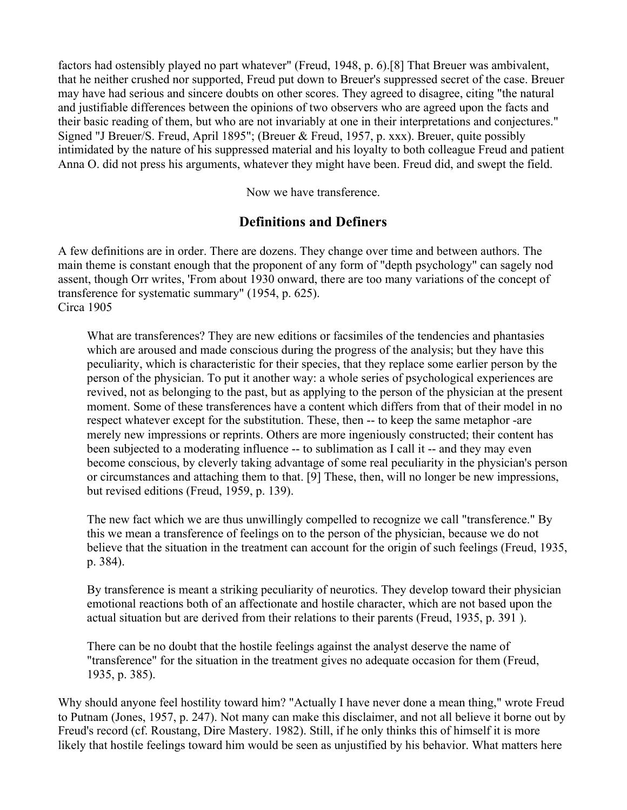factors had ostensibly played no part whatever" (Freud, 1948, p. 6).[8] That Breuer was ambivalent, that he neither crushed nor supported, Freud put down to Breuer's suppressed secret of the case. Breuer may have had serious and sincere doubts on other scores. They agreed to disagree, citing "the natural and justifiable differences between the opinions of two observers who are agreed upon the facts and their basic reading of them, but who are not invariably at one in their interpretations and conjectures." Signed "J Breuer/S. Freud, April 1895"; (Breuer & Freud, 1957, p. xxx). Breuer, quite possibly intimidated by the nature of his suppressed material and his loyalty to both colleague Freud and patient Anna O. did not press his arguments, whatever they might have been. Freud did, and swept the field.

Now we have transference.

### Definitions and Definers

A few definitions are in order. There are dozens. They change over time and between authors. The main theme is constant enough that the proponent of any form of "depth psychology" can sagely nod assent, though Orr writes, 'From about 1930 onward, there are too many variations of the concept of transference for systematic summary" (1954, p. 625). Circa 1905

What are transferences? They are new editions or facsimiles of the tendencies and phantasies which are aroused and made conscious during the progress of the analysis; but they have this peculiarity, which is characteristic for their species, that they replace some earlier person by the person of the physician. To put it another way: a whole series of psychological experiences are revived, not as belonging to the past, but as applying to the person of the physician at the present moment. Some of these transferences have a content which differs from that of their model in no respect whatever except for the substitution. These, then -- to keep the same metaphor -are merely new impressions or reprints. Others are more ingeniously constructed; their content has been subjected to a moderating influence -- to sublimation as I call it -- and they may even become conscious, by cleverly taking advantage of some real peculiarity in the physician's person or circumstances and attaching them to that. [9] These, then, will no longer be new impressions, but revised editions (Freud, 1959, p. 139).

The new fact which we are thus unwillingly compelled to recognize we call "transference." By this we mean a transference of feelings on to the person of the physician, because we do not believe that the situation in the treatment can account for the origin of such feelings (Freud, 1935, p. 384).

By transference is meant a striking peculiarity of neurotics. They develop toward their physician emotional reactions both of an affectionate and hostile character, which are not based upon the actual situation but are derived from their relations to their parents (Freud, 1935, p. 391 ).

There can be no doubt that the hostile feelings against the analyst deserve the name of "transference" for the situation in the treatment gives no adequate occasion for them (Freud, 1935, p. 385).

Why should anyone feel hostility toward him? "Actually I have never done a mean thing," wrote Freud to Putnam (Jones, 1957, p. 247). Not many can make this disclaimer, and not all believe it borne out by Freud's record (cf. Roustang, Dire Mastery. 1982). Still, if he only thinks this of himself it is more likely that hostile feelings toward him would be seen as unjustified by his behavior. What matters here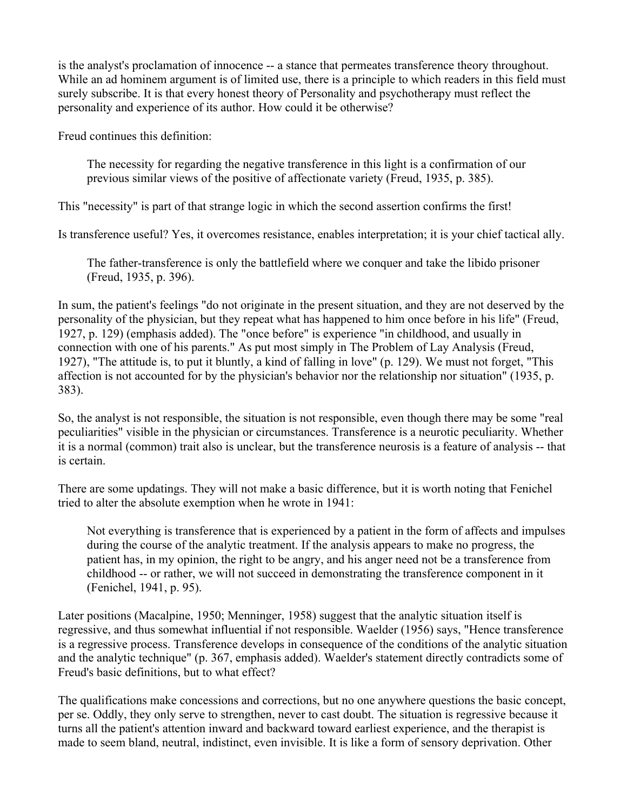is the analyst's proclamation of innocence -- a stance that permeates transference theory throughout. While an ad hominem argument is of limited use, there is a principle to which readers in this field must surely subscribe. It is that every honest theory of Personality and psychotherapy must reflect the personality and experience of its author. How could it be otherwise?

Freud continues this definition:

The necessity for regarding the negative transference in this light is a confirmation of our previous similar views of the positive of affectionate variety (Freud, 1935, p. 385).

This "necessity" is part of that strange logic in which the second assertion confirms the first!

Is transference useful? Yes, it overcomes resistance, enables interpretation; it is your chief tactical ally.

The father-transference is only the battlefield where we conquer and take the libido prisoner (Freud, 1935, p. 396).

In sum, the patient's feelings "do not originate in the present situation, and they are not deserved by the personality of the physician, but they repeat what has happened to him once before in his life" (Freud, 1927, p. 129) (emphasis added). The "once before" is experience "in childhood, and usually in connection with one of his parents." As put most simply in The Problem of Lay Analysis (Freud, 1927), "The attitude is, to put it bluntly, a kind of falling in love" (p. 129). We must not forget, "This affection is not accounted for by the physician's behavior nor the relationship nor situation" (1935, p. 383).

So, the analyst is not responsible, the situation is not responsible, even though there may be some "real peculiarities" visible in the physician or circumstances. Transference is a neurotic peculiarity. Whether it is a normal (common) trait also is unclear, but the transference neurosis is a feature of analysis -- that is certain.

There are some updatings. They will not make a basic difference, but it is worth noting that Fenichel tried to alter the absolute exemption when he wrote in 1941:

Not everything is transference that is experienced by a patient in the form of affects and impulses during the course of the analytic treatment. If the analysis appears to make no progress, the patient has, in my opinion, the right to be angry, and his anger need not be a transference from childhood -- or rather, we will not succeed in demonstrating the transference component in it (Fenichel, 1941, p. 95).

Later positions (Macalpine, 1950; Menninger, 1958) suggest that the analytic situation itself is regressive, and thus somewhat influential if not responsible. Waelder (1956) says, "Hence transference is a regressive process. Transference develops in consequence of the conditions of the analytic situation and the analytic technique" (p. 367, emphasis added). Waelder's statement directly contradicts some of Freud's basic definitions, but to what effect?

The qualifications make concessions and corrections, but no one anywhere questions the basic concept, per se. Oddly, they only serve to strengthen, never to cast doubt. The situation is regressive because it turns all the patient's attention inward and backward toward earliest experience, and the therapist is made to seem bland, neutral, indistinct, even invisible. It is like a form of sensory deprivation. Other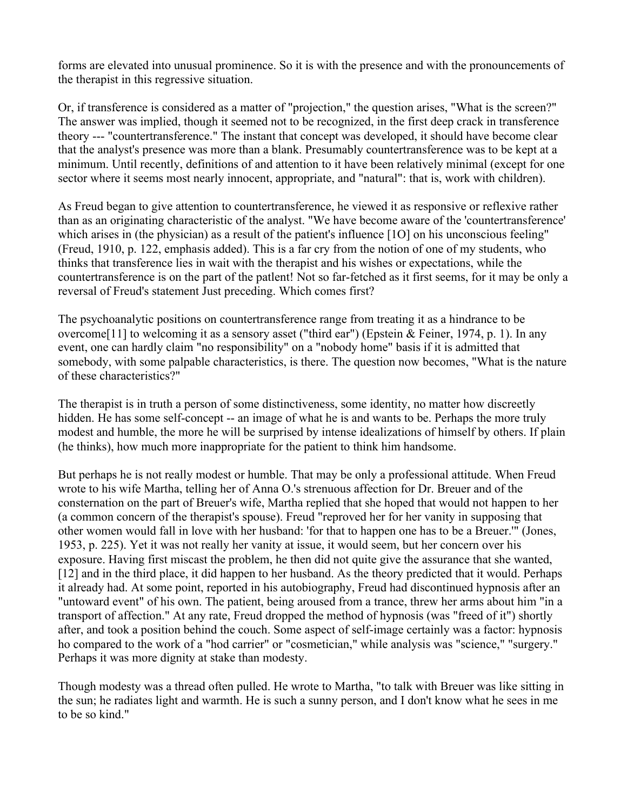forms are elevated into unusual prominence. So it is with the presence and with the pronouncements of the therapist in this regressive situation.

Or, if transference is considered as a matter of "projection," the question arises, "What is the screen?" The answer was implied, though it seemed not to be recognized, in the first deep crack in transference theory --- "countertransference." The instant that concept was developed, it should have become clear that the analyst's presence was more than a blank. Presumably countertransference was to be kept at a minimum. Until recently, definitions of and attention to it have been relatively minimal (except for one sector where it seems most nearly innocent, appropriate, and "natural": that is, work with children).

As Freud began to give attention to countertransference, he viewed it as responsive or reflexive rather than as an originating characteristic of the analyst. "We have become aware of the 'countertransference' which arises in (the physician) as a result of the patient's influence [1O] on his unconscious feeling" (Freud, 1910, p. 122, emphasis added). This is a far cry from the notion of one of my students, who thinks that transference lies in wait with the therapist and his wishes or expectations, while the countertransference is on the part of the patlent! Not so far-fetched as it first seems, for it may be only a reversal of Freud's statement Just preceding. Which comes first?

The psychoanalytic positions on countertransference range from treating it as a hindrance to be overcome[11] to welcoming it as a sensory asset ("third ear") (Epstein & Feiner, 1974, p. 1). In any event, one can hardly claim "no responsibility" on a "nobody home" basis if it is admitted that somebody, with some palpable characteristics, is there. The question now becomes, "What is the nature of these characteristics?"

The therapist is in truth a person of some distinctiveness, some identity, no matter how discreetly hidden. He has some self-concept -- an image of what he is and wants to be. Perhaps the more truly modest and humble, the more he will be surprised by intense idealizations of himself by others. If plain (he thinks), how much more inappropriate for the patient to think him handsome.

But perhaps he is not really modest or humble. That may be only a professional attitude. When Freud wrote to his wife Martha, telling her of Anna O.'s strenuous affection for Dr. Breuer and of the consternation on the part of Breuer's wife, Martha replied that she hoped that would not happen to her (a common concern of the therapist's spouse). Freud "reproved her for her vanity in supposing that other women would fall in love with her husband: 'for that to happen one has to be a Breuer.'" (Jones, 1953, p. 225). Yet it was not really her vanity at issue, it would seem, but her concern over his exposure. Having first miscast the problem, he then did not quite give the assurance that she wanted, [12] and in the third place, it did happen to her husband. As the theory predicted that it would. Perhaps it already had. At some point, reported in his autobiography, Freud had discontinued hypnosis after an "untoward event" of his own. The patient, being aroused from a trance, threw her arms about him "in a transport of affection." At any rate, Freud dropped the method of hypnosis (was "freed of it") shortly after, and took a position behind the couch. Some aspect of self-image certainly was a factor: hypnosis ho compared to the work of a "hod carrier" or "cosmetician," while analysis was "science," "surgery." Perhaps it was more dignity at stake than modesty.

Though modesty was a thread often pulled. He wrote to Martha, "to talk with Breuer was like sitting in the sun; he radiates light and warmth. He is such a sunny person, and I don't know what he sees in me to be so kind."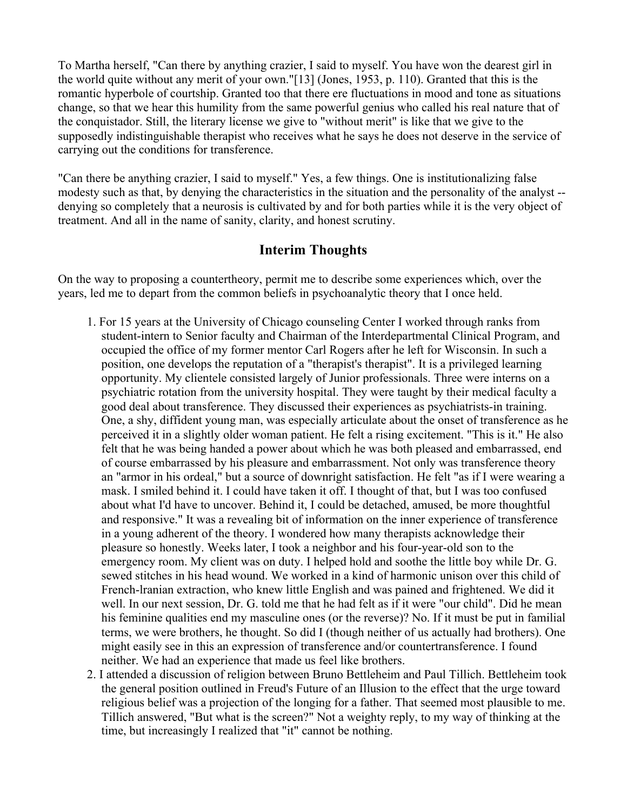To Martha herself, "Can there by anything crazier, I said to myself. You have won the dearest girl in the world quite without any merit of your own."[13] (Jones, 1953, p. 110). Granted that this is the romantic hyperbole of courtship. Granted too that there ere fluctuations in mood and tone as situations change, so that we hear this humility from the same powerful genius who called his real nature that of the conquistador. Still, the literary license we give to "without merit" is like that we give to the supposedly indistinguishable therapist who receives what he says he does not deserve in the service of carrying out the conditions for transference.

"Can there be anything crazier, I said to myself." Yes, a few things. One is institutionalizing false modesty such as that, by denying the characteristics in the situation and the personality of the analyst - denying so completely that a neurosis is cultivated by and for both parties while it is the very object of treatment. And all in the name of sanity, clarity, and honest scrutiny.

#### Interim Thoughts

On the way to proposing a countertheory, permit me to describe some experiences which, over the years, led me to depart from the common beliefs in psychoanalytic theory that I once held.

- 1. For 15 years at the University of Chicago counseling Center I worked through ranks from student-intern to Senior faculty and Chairman of the Interdepartmental Clinical Program, and occupied the office of my former mentor Carl Rogers after he left for Wisconsin. In such a position, one develops the reputation of a "therapist's therapist". It is a privileged learning opportunity. My clientele consisted largely of Junior professionals. Three were interns on a psychiatric rotation from the university hospital. They were taught by their medical faculty a good deal about transference. They discussed their experiences as psychiatrists-in training. One, a shy, diffident young man, was especially articulate about the onset of transference as he perceived it in a slightly older woman patient. He felt a rising excitement. "This is it." He also felt that he was being handed a power about which he was both pleased and embarrassed, end of course embarrassed by his pleasure and embarrassment. Not only was transference theory an "armor in his ordeal," but a source of downright satisfaction. He felt "as if I were wearing a mask. I smiled behind it. I could have taken it off. I thought of that, but I was too confused about what I'd have to uncover. Behind it, I could be detached, amused, be more thoughtful and responsive." It was a revealing bit of information on the inner experience of transference in a young adherent of the theory. I wondered how many therapists acknowledge their pleasure so honestly. Weeks later, I took a neighbor and his four-year-old son to the emergency room. My client was on duty. I helped hold and soothe the little boy while Dr. G. sewed stitches in his head wound. We worked in a kind of harmonic unison over this child of French-lranian extraction, who knew little English and was pained and frightened. We did it well. In our next session, Dr. G. told me that he had felt as if it were "our child". Did he mean his feminine qualities end my masculine ones (or the reverse)? No. If it must be put in familial terms, we were brothers, he thought. So did I (though neither of us actually had brothers). One might easily see in this an expression of transference and/or countertransference. I found neither. We had an experience that made us feel like brothers.
- 2. I attended a discussion of religion between Bruno Bettleheim and Paul Tillich. Bettleheim took the general position outlined in Freud's Future of an Illusion to the effect that the urge toward religious belief was a projection of the longing for a father. That seemed most plausible to me. Tillich answered, "But what is the screen?" Not a weighty reply, to my way of thinking at the time, but increasingly I realized that "it" cannot be nothing.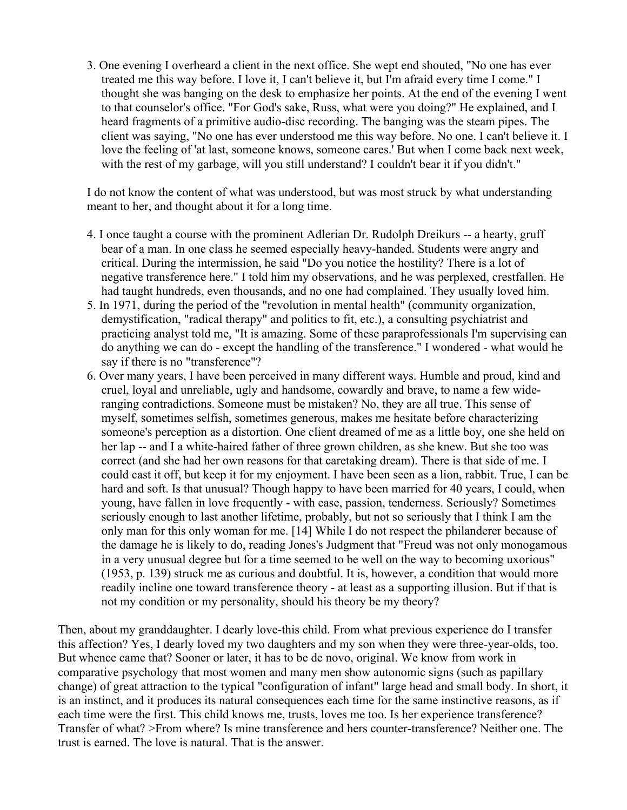3. One evening I overheard a client in the next office. She wept end shouted, "No one has ever treated me this way before. I love it, I can't believe it, but I'm afraid every time I come." I thought she was banging on the desk to emphasize her points. At the end of the evening I went to that counselor's office. "For God's sake, Russ, what were you doing?" He explained, and I heard fragments of a primitive audio-disc recording. The banging was the steam pipes. The client was saying, "No one has ever understood me this way before. No one. I can't believe it. I love the feeling of 'at last, someone knows, someone cares.' But when I come back next week, with the rest of my garbage, will you still understand? I couldn't bear it if you didn't."

I do not know the content of what was understood, but was most struck by what understanding meant to her, and thought about it for a long time.

- 4. I once taught a course with the prominent Adlerian Dr. Rudolph Dreikurs -- a hearty, gruff bear of a man. In one class he seemed especially heavy-handed. Students were angry and critical. During the intermission, he said "Do you notice the hostility? There is a lot of negative transference here." I told him my observations, and he was perplexed, crestfallen. He had taught hundreds, even thousands, and no one had complained. They usually loved him.
- 5. In 1971, during the period of the "revolution in mental health" (community organization, demystification, "radical therapy" and politics to fit, etc.), a consulting psychiatrist and practicing analyst told me, "It is amazing. Some of these paraprofessionals I'm supervising can do anything we can do - except the handling of the transference." I wondered - what would he say if there is no "transference"?
- 6. Over many years, I have been perceived in many different ways. Humble and proud, kind and cruel, loyal and unreliable, ugly and handsome, cowardly and brave, to name a few wideranging contradictions. Someone must be mistaken? No, they are all true. This sense of myself, sometimes selfish, sometimes generous, makes me hesitate before characterizing someone's perception as a distortion. One client dreamed of me as a little boy, one she held on her lap -- and I a white-haired father of three grown children, as she knew. But she too was correct (and she had her own reasons for that caretaking dream). There is that side of me. I could cast it off, but keep it for my enjoyment. I have been seen as a lion, rabbit. True, I can be hard and soft. Is that unusual? Though happy to have been married for 40 years, I could, when young, have fallen in love frequently - with ease, passion, tenderness. Seriously? Sometimes seriously enough to last another lifetime, probably, but not so seriously that I think I am the only man for this only woman for me. [14] While I do not respect the philanderer because of the damage he is likely to do, reading Jones's Judgment that "Freud was not only monogamous in a very unusual degree but for a time seemed to be well on the way to becoming uxorious" (1953, p. 139) struck me as curious and doubtful. It is, however, a condition that would more readily incline one toward transference theory - at least as a supporting illusion. But if that is not my condition or my personality, should his theory be my theory?

Then, about my granddaughter. I dearly love-this child. From what previous experience do I transfer this affection? Yes, I dearly loved my two daughters and my son when they were three-year-olds, too. But whence came that? Sooner or later, it has to be de novo, original. We know from work in comparative psychology that most women and many men show autonomic signs (such as papillary change) of great attraction to the typical "configuration of infant" large head and small body. In short, it is an instinct, and it produces its natural consequences each time for the same instinctive reasons, as if each time were the first. This child knows me, trusts, loves me too. Is her experience transference? Transfer of what? >From where? Is mine transference and hers counter-transference? Neither one. The trust is earned. The love is natural. That is the answer.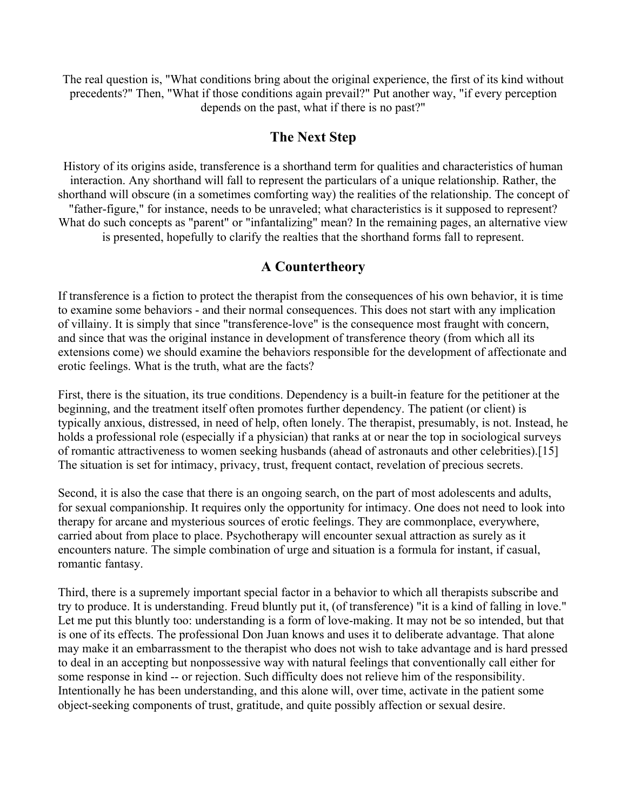The real question is, "What conditions bring about the original experience, the first of its kind without precedents?" Then, "What if those conditions again prevail?" Put another way, "if every perception depends on the past, what if there is no past?"

## The Next Step

History of its origins aside, transference is a shorthand term for qualities and characteristics of human interaction. Any shorthand will fall to represent the particulars of a unique relationship. Rather, the shorthand will obscure (in a sometimes comforting way) the realities of the relationship. The concept of "father-figure," for instance, needs to be unraveled; what characteristics is it supposed to represent? What do such concepts as "parent" or "infantalizing" mean? In the remaining pages, an alternative view is presented, hopefully to clarify the realties that the shorthand forms fall to represent.

### A Countertheory

If transference is a fiction to protect the therapist from the consequences of his own behavior, it is time to examine some behaviors - and their normal consequences. This does not start with any implication of villainy. It is simply that since "transference-love" is the consequence most fraught with concern, and since that was the original instance in development of transference theory (from which all its extensions come) we should examine the behaviors responsible for the development of affectionate and erotic feelings. What is the truth, what are the facts?

First, there is the situation, its true conditions. Dependency is a built-in feature for the petitioner at the beginning, and the treatment itself often promotes further dependency. The patient (or client) is typically anxious, distressed, in need of help, often lonely. The therapist, presumably, is not. Instead, he holds a professional role (especially if a physician) that ranks at or near the top in sociological surveys of romantic attractiveness to women seeking husbands (ahead of astronauts and other celebrities).[15] The situation is set for intimacy, privacy, trust, frequent contact, revelation of precious secrets.

Second, it is also the case that there is an ongoing search, on the part of most adolescents and adults, for sexual companionship. It requires only the opportunity for intimacy. One does not need to look into therapy for arcane and mysterious sources of erotic feelings. They are commonplace, everywhere, carried about from place to place. Psychotherapy will encounter sexual attraction as surely as it encounters nature. The simple combination of urge and situation is a formula for instant, if casual, romantic fantasy.

Third, there is a supremely important special factor in a behavior to which all therapists subscribe and try to produce. It is understanding. Freud bluntly put it, (of transference) "it is a kind of falling in love." Let me put this bluntly too: understanding is a form of love-making. It may not be so intended, but that is one of its effects. The professional Don Juan knows and uses it to deliberate advantage. That alone may make it an embarrassment to the therapist who does not wish to take advantage and is hard pressed to deal in an accepting but nonpossessive way with natural feelings that conventionally call either for some response in kind -- or rejection. Such difficulty does not relieve him of the responsibility. Intentionally he has been understanding, and this alone will, over time, activate in the patient some object-seeking components of trust, gratitude, and quite possibly affection or sexual desire.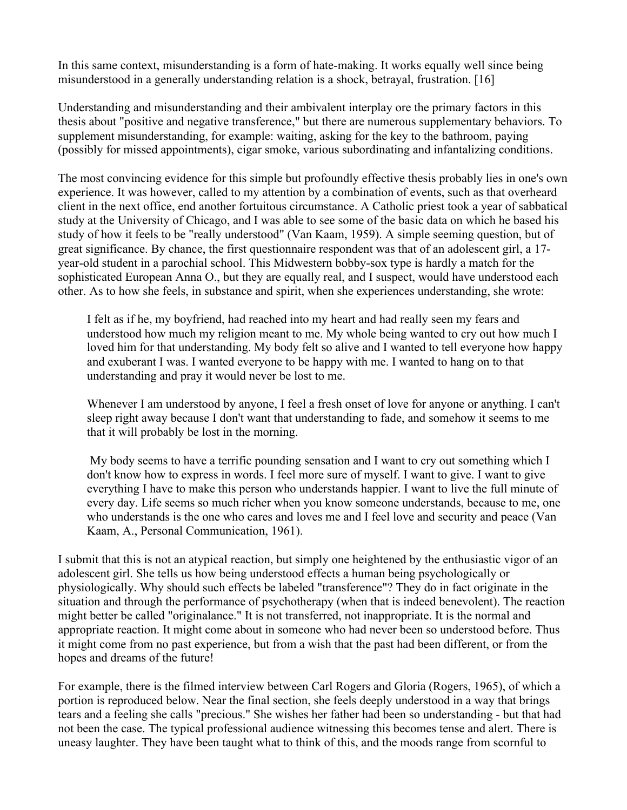In this same context, misunderstanding is a form of hate-making. It works equally well since being misunderstood in a generally understanding relation is a shock, betrayal, frustration. [16]

Understanding and misunderstanding and their ambivalent interplay ore the primary factors in this thesis about "positive and negative transference," but there are numerous supplementary behaviors. To supplement misunderstanding, for example: waiting, asking for the key to the bathroom, paying (possibly for missed appointments), cigar smoke, various subordinating and infantalizing conditions.

The most convincing evidence for this simple but profoundly effective thesis probably lies in one's own experience. It was however, called to my attention by a combination of events, such as that overheard client in the next office, end another fortuitous circumstance. A Catholic priest took a year of sabbatical study at the University of Chicago, and I was able to see some of the basic data on which he based his study of how it feels to be "really understood" (Van Kaam, 1959). A simple seeming question, but of great significance. By chance, the first questionnaire respondent was that of an adolescent girl, a 17 year-old student in a parochial school. This Midwestern bobby-sox type is hardly a match for the sophisticated European Anna O., but they are equally real, and I suspect, would have understood each other. As to how she feels, in substance and spirit, when she experiences understanding, she wrote:

I felt as if he, my boyfriend, had reached into my heart and had really seen my fears and understood how much my religion meant to me. My whole being wanted to cry out how much I loved him for that understanding. My body felt so alive and I wanted to tell everyone how happy and exuberant I was. I wanted everyone to be happy with me. I wanted to hang on to that understanding and pray it would never be lost to me.

Whenever I am understood by anyone, I feel a fresh onset of love for anyone or anything. I can't sleep right away because I don't want that understanding to fade, and somehow it seems to me that it will probably be lost in the morning.

 My body seems to have a terrific pounding sensation and I want to cry out something which I don't know how to express in words. I feel more sure of myself. I want to give. I want to give everything I have to make this person who understands happier. I want to live the full minute of every day. Life seems so much richer when you know someone understands, because to me, one who understands is the one who cares and loves me and I feel love and security and peace (Van Kaam, A., Personal Communication, 1961).

I submit that this is not an atypical reaction, but simply one heightened by the enthusiastic vigor of an adolescent girl. She tells us how being understood effects a human being psychologically or physiologically. Why should such effects be labeled "transference"? They do in fact originate in the situation and through the performance of psychotherapy (when that is indeed benevolent). The reaction might better be called "originalance." It is not transferred, not inappropriate. It is the normal and appropriate reaction. It might come about in someone who had never been so understood before. Thus it might come from no past experience, but from a wish that the past had been different, or from the hopes and dreams of the future!

For example, there is the filmed interview between Carl Rogers and Gloria (Rogers, 1965), of which a portion is reproduced below. Near the final section, she feels deeply understood in a way that brings tears and a feeling she calls "precious." She wishes her father had been so understanding - but that had not been the case. The typical professional audience witnessing this becomes tense and alert. There is uneasy laughter. They have been taught what to think of this, and the moods range from scornful to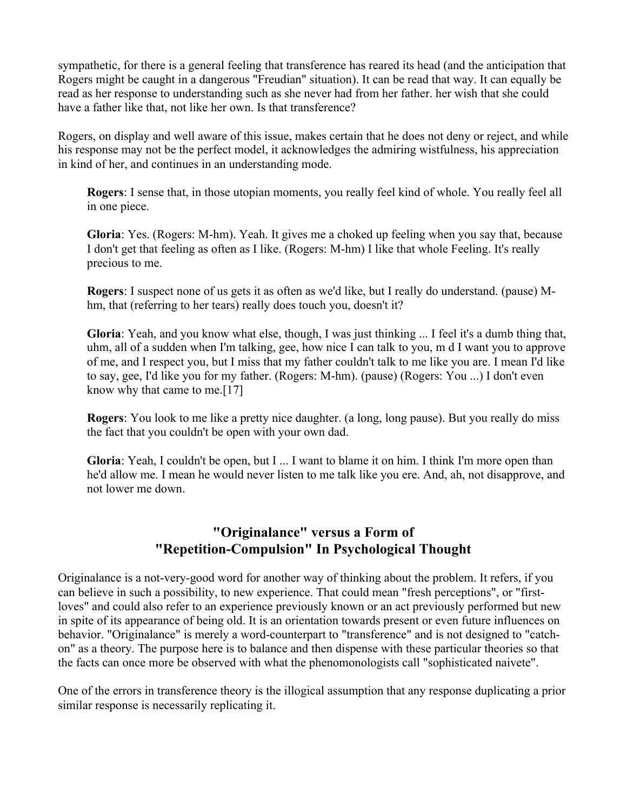sympathetic, for there is a general feeling that transference has reared its head (and the anticipation that Rogers might be caught in a dangerous "Freudian" situation). It can be read that way. It can equally be read as her response to understanding such as she never had from her father. her wish that she could have a father like that, not like her own. Is that transference?

Rogers, on display and well aware of this issue, makes certain that he does not deny or reject, and while his response may not be the perfect model, it acknowledges the admiring wistfulness, his appreciation in kind of her, and continues in an understanding mode.

Rogers: I sense that, in those utopian moments, you really feel kind of whole. You really feel all in one piece.

Gloria: Yes. (Rogers: M-hm). Yeah. It gives me a choked up feeling when you say that, because I don't get that feeling as often as I like. (Rogers: M-hm) I like that whole Feeling. It's really precious to me.

Rogers: I suspect none of us gets it as often as we'd like, but I really do understand. (pause) Mhm, that (referring to her tears) really does touch you, doesn't it?

Gloria: Yeah, and you know what else, though, I was just thinking ... I feel it's a dumb thing that, uhm, all of a sudden when I'm talking, gee, how nice I can talk to you, m d I want you to approve of me, and I respect you, but I miss that my father couldn't talk to me like you are. I mean I'd like to say, gee, I'd like you for my father. (Rogers: M-hm). (pause) (Rogers: You ...) I don't even know why that came to me.[17]

Rogers: You look to me like a pretty nice daughter. (a long, long pause). But you really do miss the fact that you couldn't be open with your own dad.

Gloria: Yeah, I couldn't be open, but I ... I want to blame it on him. I think I'm more open than he'd allow me. I mean he would never listen to me talk like you ere. And, ah, not disapprove, and not lower me down.

## "Originalance" versus a Form of "Repetition-Compulsion" In Psychological Thought

Originalance is a not-very-good word for another way of thinking about the problem. It refers, if you can believe in such a possibility, to new experience. That could mean "fresh perceptions", or "firstloves" and could also refer to an experience previously known or an act previously performed but new in spite of its appearance of being old. It is an orientation towards present or even future influences on behavior. "Originalance" is merely a word-counterpart to "transference" and is not designed to "catchon" as a theory. The purpose here is to balance and then dispense with these particular theories so that the facts can once more be observed with what the phenomonologists call "sophisticated naivete".

One of the errors in transference theory is the illogical assumption that any response duplicating a prior similar response is necessarily replicating it.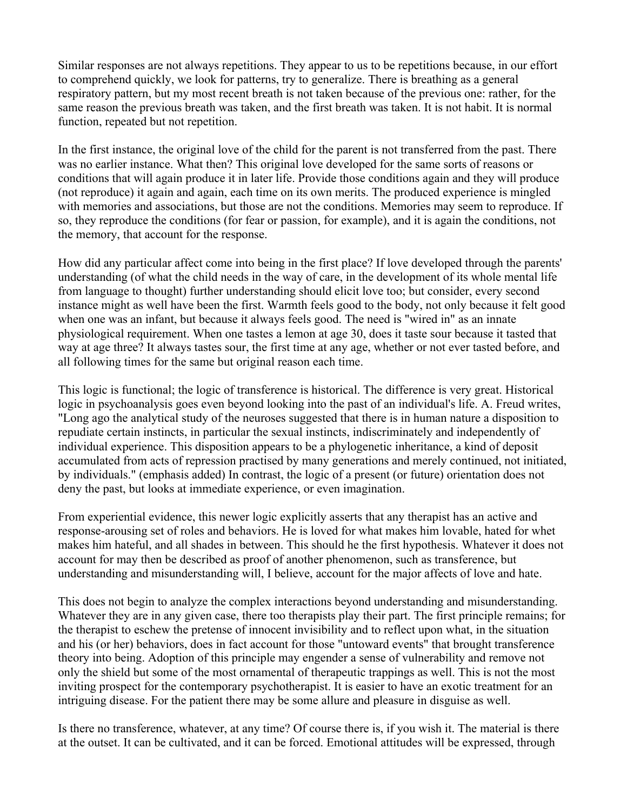Similar responses are not always repetitions. They appear to us to be repetitions because, in our effort to comprehend quickly, we look for patterns, try to generalize. There is breathing as a general respiratory pattern, but my most recent breath is not taken because of the previous one: rather, for the same reason the previous breath was taken, and the first breath was taken. It is not habit. It is normal function, repeated but not repetition.

In the first instance, the original love of the child for the parent is not transferred from the past. There was no earlier instance. What then? This original love developed for the same sorts of reasons or conditions that will again produce it in later life. Provide those conditions again and they will produce (not reproduce) it again and again, each time on its own merits. The produced experience is mingled with memories and associations, but those are not the conditions. Memories may seem to reproduce. If so, they reproduce the conditions (for fear or passion, for example), and it is again the conditions, not the memory, that account for the response.

How did any particular affect come into being in the first place? If love developed through the parents' understanding (of what the child needs in the way of care, in the development of its whole mental life from language to thought) further understanding should elicit love too; but consider, every second instance might as well have been the first. Warmth feels good to the body, not only because it felt good when one was an infant, but because it always feels good. The need is "wired in" as an innate physiological requirement. When one tastes a lemon at age 30, does it taste sour because it tasted that way at age three? It always tastes sour, the first time at any age, whether or not ever tasted before, and all following times for the same but original reason each time.

This logic is functional; the logic of transference is historical. The difference is very great. Historical logic in psychoanalysis goes even beyond looking into the past of an individual's life. A. Freud writes, "Long ago the analytical study of the neuroses suggested that there is in human nature a disposition to repudiate certain instincts, in particular the sexual instincts, indiscriminately and independently of individual experience. This disposition appears to be a phylogenetic inheritance, a kind of deposit accumulated from acts of repression practised by many generations and merely continued, not initiated, by individuals." (emphasis added) In contrast, the logic of a present (or future) orientation does not deny the past, but looks at immediate experience, or even imagination.

From experiential evidence, this newer logic explicitly asserts that any therapist has an active and response-arousing set of roles and behaviors. He is loved for what makes him lovable, hated for whet makes him hateful, and all shades in between. This should he the first hypothesis. Whatever it does not account for may then be described as proof of another phenomenon, such as transference, but understanding and misunderstanding will, I believe, account for the major affects of love and hate.

This does not begin to analyze the complex interactions beyond understanding and misunderstanding. Whatever they are in any given case, there too therapists play their part. The first principle remains; for the therapist to eschew the pretense of innocent invisibility and to reflect upon what, in the situation and his (or her) behaviors, does in fact account for those "untoward events" that brought transference theory into being. Adoption of this principle may engender a sense of vulnerability and remove not only the shield but some of the most ornamental of therapeutic trappings as well. This is not the most inviting prospect for the contemporary psychotherapist. It is easier to have an exotic treatment for an intriguing disease. For the patient there may be some allure and pleasure in disguise as well.

Is there no transference, whatever, at any time? Of course there is, if you wish it. The material is there at the outset. It can be cultivated, and it can be forced. Emotional attitudes will be expressed, through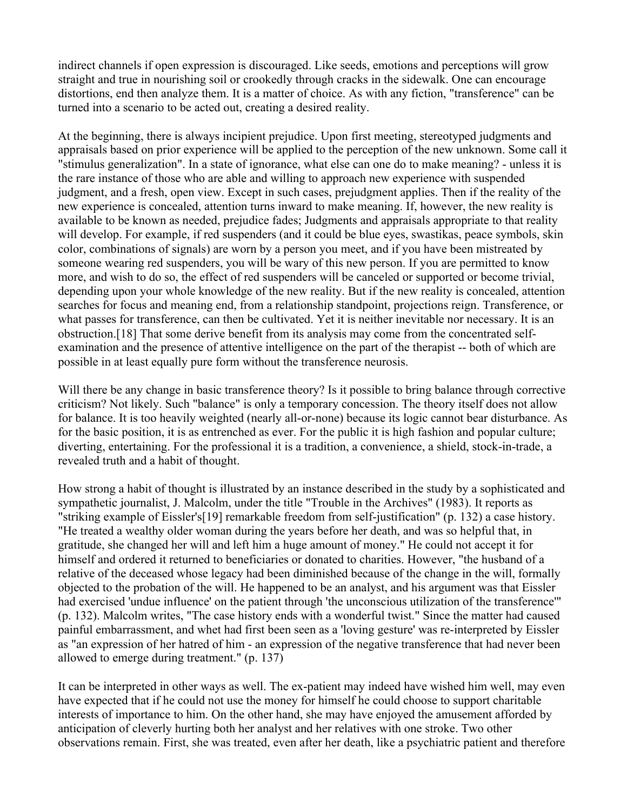indirect channels if open expression is discouraged. Like seeds, emotions and perceptions will grow straight and true in nourishing soil or crookedly through cracks in the sidewalk. One can encourage distortions, end then analyze them. It is a matter of choice. As with any fiction, "transference" can be turned into a scenario to be acted out, creating a desired reality.

At the beginning, there is always incipient prejudice. Upon first meeting, stereotyped judgments and appraisals based on prior experience will be applied to the perception of the new unknown. Some call it "stimulus generalization". In a state of ignorance, what else can one do to make meaning? - unless it is the rare instance of those who are able and willing to approach new experience with suspended judgment, and a fresh, open view. Except in such cases, prejudgment applies. Then if the reality of the new experience is concealed, attention turns inward to make meaning. If, however, the new reality is available to be known as needed, prejudice fades; Judgments and appraisals appropriate to that reality will develop. For example, if red suspenders (and it could be blue eyes, swastikas, peace symbols, skin color, combinations of signals) are worn by a person you meet, and if you have been mistreated by someone wearing red suspenders, you will be wary of this new person. If you are permitted to know more, and wish to do so, the effect of red suspenders will be canceled or supported or become trivial, depending upon your whole knowledge of the new reality. But if the new reality is concealed, attention searches for focus and meaning end, from a relationship standpoint, projections reign. Transference, or what passes for transference, can then be cultivated. Yet it is neither inevitable nor necessary. It is an obstruction.[18] That some derive benefit from its analysis may come from the concentrated selfexamination and the presence of attentive intelligence on the part of the therapist -- both of which are possible in at least equally pure form without the transference neurosis.

Will there be any change in basic transference theory? Is it possible to bring balance through corrective criticism? Not likely. Such "balance" is only a temporary concession. The theory itself does not allow for balance. It is too heavily weighted (nearly all-or-none) because its logic cannot bear disturbance. As for the basic position, it is as entrenched as ever. For the public it is high fashion and popular culture; diverting, entertaining. For the professional it is a tradition, a convenience, a shield, stock-in-trade, a revealed truth and a habit of thought.

How strong a habit of thought is illustrated by an instance described in the study by a sophisticated and sympathetic journalist, J. Malcolm, under the title "Trouble in the Archives" (1983). It reports as "striking example of Eissler's[19] remarkable freedom from self-justification" (p. 132) a case history. "He treated a wealthy older woman during the years before her death, and was so helpful that, in gratitude, she changed her will and left him a huge amount of money." He could not accept it for himself and ordered it returned to beneficiaries or donated to charities. However, "the husband of a relative of the deceased whose legacy had been diminished because of the change in the will, formally objected to the probation of the will. He happened to be an analyst, and his argument was that Eissler had exercised 'undue influence' on the patient through 'the unconscious utilization of the transference'" (p. 132). Malcolm writes, "The case history ends with a wonderful twist." Since the matter had caused painful embarrassment, and whet had first been seen as a 'loving gesture' was re-interpreted by Eissler as "an expression of her hatred of him - an expression of the negative transference that had never been allowed to emerge during treatment." (p. 137)

It can be interpreted in other ways as well. The ex-patient may indeed have wished him well, may even have expected that if he could not use the money for himself he could choose to support charitable interests of importance to him. On the other hand, she may have enjoyed the amusement afforded by anticipation of cleverly hurting both her analyst and her relatives with one stroke. Two other observations remain. First, she was treated, even after her death, like a psychiatric patient and therefore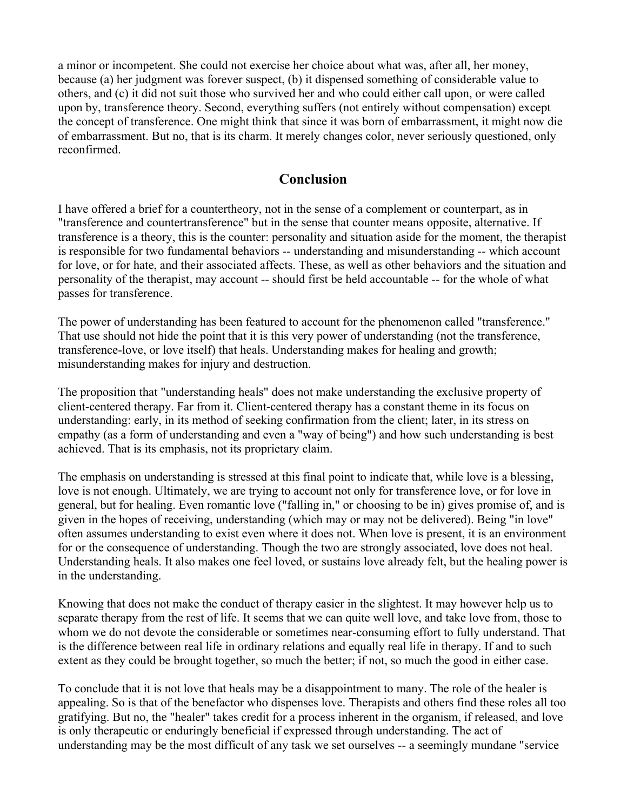a minor or incompetent. She could not exercise her choice about what was, after all, her money, because (a) her judgment was forever suspect, (b) it dispensed something of considerable value to others, and (c) it did not suit those who survived her and who could either call upon, or were called upon by, transference theory. Second, everything suffers (not entirely without compensation) except the concept of transference. One might think that since it was born of embarrassment, it might now die of embarrassment. But no, that is its charm. It merely changes color, never seriously questioned, only reconfirmed.

### Conclusion

I have offered a brief for a countertheory, not in the sense of a complement or counterpart, as in "transference and countertransference" but in the sense that counter means opposite, alternative. If transference is a theory, this is the counter: personality and situation aside for the moment, the therapist is responsible for two fundamental behaviors -- understanding and misunderstanding -- which account for love, or for hate, and their associated affects. These, as well as other behaviors and the situation and personality of the therapist, may account -- should first be held accountable -- for the whole of what passes for transference.

The power of understanding has been featured to account for the phenomenon called "transference." That use should not hide the point that it is this very power of understanding (not the transference, transference-love, or love itself) that heals. Understanding makes for healing and growth; misunderstanding makes for injury and destruction.

The proposition that "understanding heals" does not make understanding the exclusive property of client-centered therapy. Far from it. Client-centered therapy has a constant theme in its focus on understanding: early, in its method of seeking confirmation from the client; later, in its stress on empathy (as a form of understanding and even a "way of being") and how such understanding is best achieved. That is its emphasis, not its proprietary claim.

The emphasis on understanding is stressed at this final point to indicate that, while love is a blessing, love is not enough. Ultimately, we are trying to account not only for transference love, or for love in general, but for healing. Even romantic love ("falling in," or choosing to be in) gives promise of, and is given in the hopes of receiving, understanding (which may or may not be delivered). Being "in love" often assumes understanding to exist even where it does not. When love is present, it is an environment for or the consequence of understanding. Though the two are strongly associated, love does not heal. Understanding heals. It also makes one feel loved, or sustains love already felt, but the healing power is in the understanding.

Knowing that does not make the conduct of therapy easier in the slightest. It may however help us to separate therapy from the rest of life. It seems that we can quite well love, and take love from, those to whom we do not devote the considerable or sometimes near-consuming effort to fully understand. That is the difference between real life in ordinary relations and equally real life in therapy. If and to such extent as they could be brought together, so much the better; if not, so much the good in either case.

To conclude that it is not love that heals may be a disappointment to many. The role of the healer is appealing. So is that of the benefactor who dispenses love. Therapists and others find these roles all too gratifying. But no, the "healer" takes credit for a process inherent in the organism, if released, and love is only therapeutic or enduringly beneficial if expressed through understanding. The act of understanding may be the most difficult of any task we set ourselves -- a seemingly mundane "service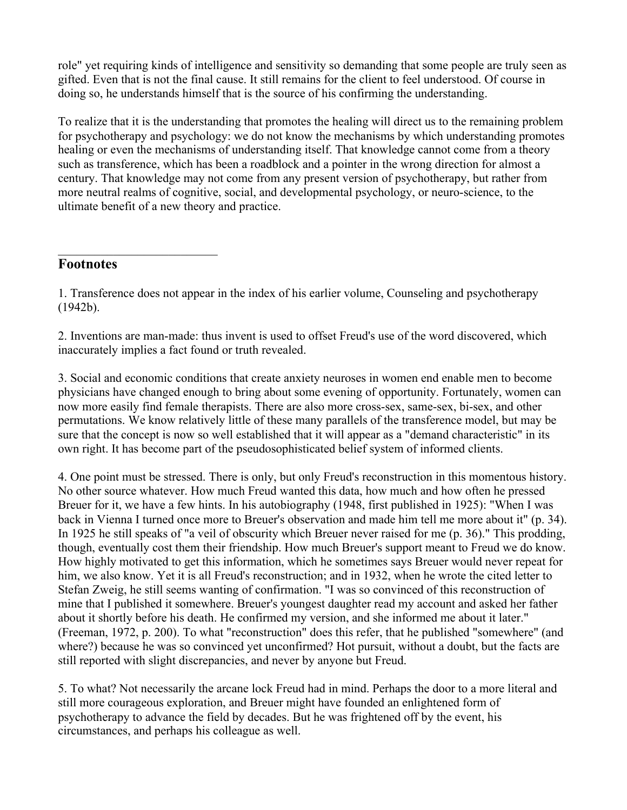role" yet requiring kinds of intelligence and sensitivity so demanding that some people are truly seen as gifted. Even that is not the final cause. It still remains for the client to feel understood. Of course in doing so, he understands himself that is the source of his confirming the understanding.

To realize that it is the understanding that promotes the healing will direct us to the remaining problem for psychotherapy and psychology: we do not know the mechanisms by which understanding promotes healing or even the mechanisms of understanding itself. That knowledge cannot come from a theory such as transference, which has been a roadblock and a pointer in the wrong direction for almost a century. That knowledge may not come from any present version of psychotherapy, but rather from more neutral realms of cognitive, social, and developmental psychology, or neuro-science, to the ultimate benefit of a new theory and practice.

#### Footnotes

 $\mathcal{L}_\text{max}$  , where  $\mathcal{L}_\text{max}$  and  $\mathcal{L}_\text{max}$ 

1. Transference does not appear in the index of his earlier volume, Counseling and psychotherapy (1942b).

2. Inventions are man-made: thus invent is used to offset Freud's use of the word discovered, which inaccurately implies a fact found or truth revealed.

3. Social and economic conditions that create anxiety neuroses in women end enable men to become physicians have changed enough to bring about some evening of opportunity. Fortunately, women can now more easily find female therapists. There are also more cross-sex, same-sex, bi-sex, and other permutations. We know relatively little of these many parallels of the transference model, but may be sure that the concept is now so well established that it will appear as a "demand characteristic" in its own right. It has become part of the pseudosophisticated belief system of informed clients.

4. One point must be stressed. There is only, but only Freud's reconstruction in this momentous history. No other source whatever. How much Freud wanted this data, how much and how often he pressed Breuer for it, we have a few hints. In his autobiography (1948, first published in 1925): "When I was back in Vienna I turned once more to Breuer's observation and made him tell me more about it" (p. 34). In 1925 he still speaks of "a veil of obscurity which Breuer never raised for me (p. 36)." This prodding, though, eventually cost them their friendship. How much Breuer's support meant to Freud we do know. How highly motivated to get this information, which he sometimes says Breuer would never repeat for him, we also know. Yet it is all Freud's reconstruction; and in 1932, when he wrote the cited letter to Stefan Zweig, he still seems wanting of confirmation. "I was so convinced of this reconstruction of mine that I published it somewhere. Breuer's youngest daughter read my account and asked her father about it shortly before his death. He confirmed my version, and she informed me about it later." (Freeman, 1972, p. 200). To what "reconstruction" does this refer, that he published "somewhere" (and where?) because he was so convinced yet unconfirmed? Hot pursuit, without a doubt, but the facts are still reported with slight discrepancies, and never by anyone but Freud.

5. To what? Not necessarily the arcane lock Freud had in mind. Perhaps the door to a more literal and still more courageous exploration, and Breuer might have founded an enlightened form of psychotherapy to advance the field by decades. But he was frightened off by the event, his circumstances, and perhaps his colleague as well.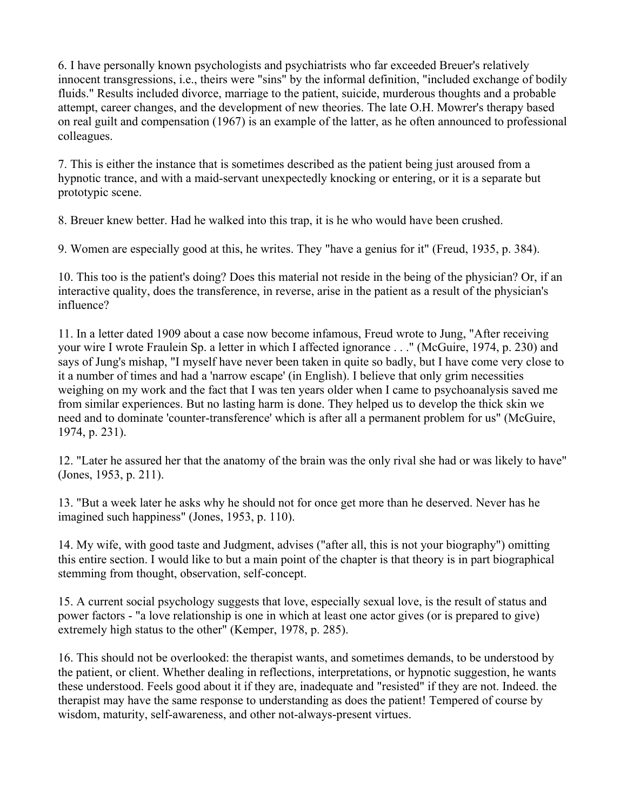6. I have personally known psychologists and psychiatrists who far exceeded Breuer's relatively innocent transgressions, i.e., theirs were "sins" by the informal definition, "included exchange of bodily fluids." Results included divorce, marriage to the patient, suicide, murderous thoughts and a probable attempt, career changes, and the development of new theories. The late O.H. Mowrer's therapy based on real guilt and compensation (1967) is an example of the latter, as he often announced to professional colleagues.

7. This is either the instance that is sometimes described as the patient being just aroused from a hypnotic trance, and with a maid-servant unexpectedly knocking or entering, or it is a separate but prototypic scene.

8. Breuer knew better. Had he walked into this trap, it is he who would have been crushed.

9. Women are especially good at this, he writes. They "have a genius for it" (Freud, 1935, p. 384).

10. This too is the patient's doing? Does this material not reside in the being of the physician? Or, if an interactive quality, does the transference, in reverse, arise in the patient as a result of the physician's influence?

11. In a letter dated 1909 about a case now become infamous, Freud wrote to Jung, "After receiving your wire I wrote Fraulein Sp. a letter in which I affected ignorance . . ." (McGuire, 1974, p. 230) and says of Jung's mishap, "I myself have never been taken in quite so badly, but I have come very close to it a number of times and had a 'narrow escape' (in English). I believe that only grim necessities weighing on my work and the fact that I was ten years older when I came to psychoanalysis saved me from similar experiences. But no lasting harm is done. They helped us to develop the thick skin we need and to dominate 'counter-transference' which is after all a permanent problem for us" (McGuire, 1974, p. 231).

12. "Later he assured her that the anatomy of the brain was the only rival she had or was likely to have" (Jones, 1953, p. 211).

13. "But a week later he asks why he should not for once get more than he deserved. Never has he imagined such happiness" (Jones, 1953, p. 110).

14. My wife, with good taste and Judgment, advises ("after all, this is not your biography") omitting this entire section. I would like to but a main point of the chapter is that theory is in part biographical stemming from thought, observation, self-concept.

15. A current social psychology suggests that love, especially sexual love, is the result of status and power factors - "a love relationship is one in which at least one actor gives (or is prepared to give) extremely high status to the other" (Kemper, 1978, p. 285).

16. This should not be overlooked: the therapist wants, and sometimes demands, to be understood by the patient, or client. Whether dealing in reflections, interpretations, or hypnotic suggestion, he wants these understood. Feels good about it if they are, inadequate and "resisted" if they are not. Indeed. the therapist may have the same response to understanding as does the patient! Tempered of course by wisdom, maturity, self-awareness, and other not-always-present virtues.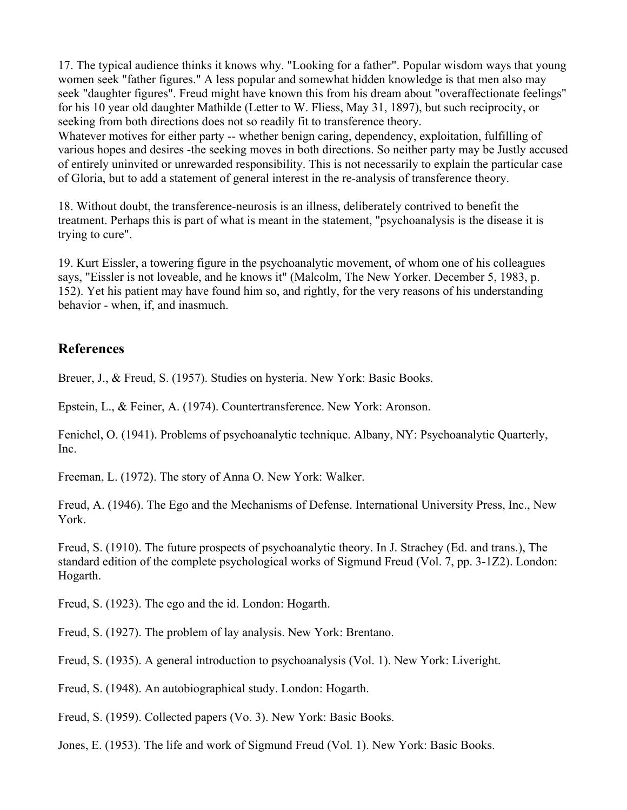17. The typical audience thinks it knows why. "Looking for a father". Popular wisdom ways that young women seek "father figures." A less popular and somewhat hidden knowledge is that men also may seek "daughter figures". Freud might have known this from his dream about "overaffectionate feelings" for his 10 year old daughter Mathilde (Letter to W. Fliess, May 31, 1897), but such reciprocity, or seeking from both directions does not so readily fit to transference theory.

Whatever motives for either party -- whether benign caring, dependency, exploitation, fulfilling of various hopes and desires -the seeking moves in both directions. So neither party may be Justly accused of entirely uninvited or unrewarded responsibility. This is not necessarily to explain the particular case of Gloria, but to add a statement of general interest in the re-analysis of transference theory.

18. Without doubt, the transference-neurosis is an illness, deliberately contrived to benefit the treatment. Perhaps this is part of what is meant in the statement, "psychoanalysis is the disease it is trying to cure".

19. Kurt Eissler, a towering figure in the psychoanalytic movement, of whom one of his colleagues says, "Eissler is not loveable, and he knows it" (Malcolm, The New Yorker. December 5, 1983, p. 152). Yet his patient may have found him so, and rightly, for the very reasons of his understanding behavior - when, if, and inasmuch.

### References

Breuer, J., & Freud, S. (1957). Studies on hysteria. New York: Basic Books.

Epstein, L., & Feiner, A. (1974). Countertransference. New York: Aronson.

Fenichel, O. (1941). Problems of psychoanalytic technique. Albany, NY: Psychoanalytic Quarterly, Inc.

Freeman, L. (1972). The story of Anna O. New York: Walker.

Freud, A. (1946). The Ego and the Mechanisms of Defense. International University Press, Inc., New York.

Freud, S. (1910). The future prospects of psychoanalytic theory. In J. Strachey (Ed. and trans.), The standard edition of the complete psychological works of Sigmund Freud (Vol. 7, pp. 3-1Z2). London: Hogarth.

Freud, S. (1923). The ego and the id. London: Hogarth.

Freud, S. (1927). The problem of lay analysis. New York: Brentano.

Freud, S. (1935). A general introduction to psychoanalysis (Vol. 1). New York: Liveright.

Freud, S. (1948). An autobiographical study. London: Hogarth.

Freud, S. (1959). Collected papers (Vo. 3). New York: Basic Books.

Jones, E. (1953). The life and work of Sigmund Freud (Vol. 1). New York: Basic Books.